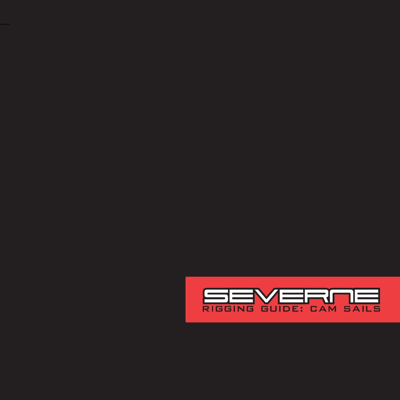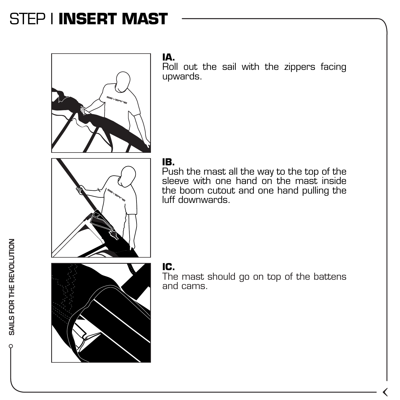### STEP I **INSERT MAST**



### **IA.**

Roll out the sail with the zippers facing upwards.



#### **IB.**

Push the mast all the way to the top of the sleeve with one hand on the mast inside the boom cutout and one hand pulling the luff downwards.



#### **IC.**

The mast should go on top of the battens and cams.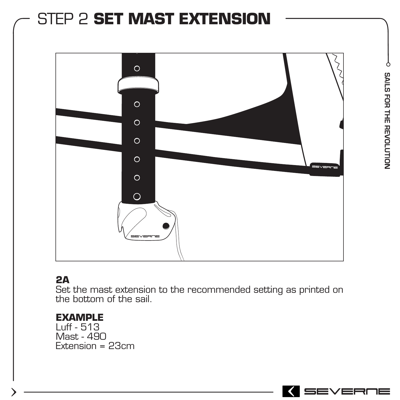# STEP 2 **SET MAST EXTENSION**  $\circ$ SAILS FOR THE REVOLUTION  $\circ$  $\circ$  $\circ$  $\circ$  $\circ$  $\circ$

### **2A**

Set the mast extension to the recommended setting as printed on the bottom of the sail.

#### **EXAMPLE**

Luff - 513 Mast - 490 Extension = 23cm

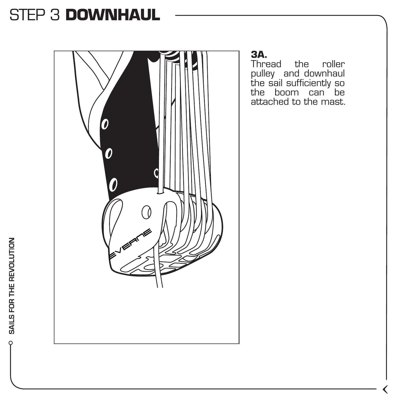### STEP 3 **DOWNHAUL**



pulley and downhaul the sail sufficiently so the boom can be attached to the mast.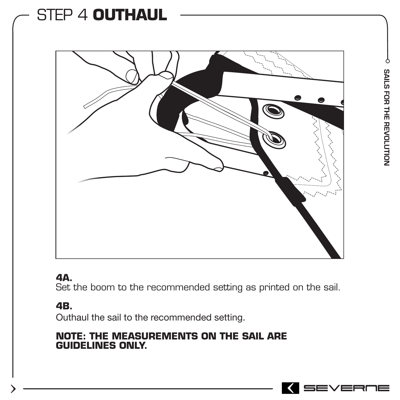## STEP 4 **OUTHAUL**



#### **4A.**

Set the boom to the recommended setting as printed on the sail.

#### **4B.**

Outhaul the sail to the recommended setting.

#### **NOTE: THE MEASUREMENTS ON THE SAIL ARE GUIDELINES ONLY.**

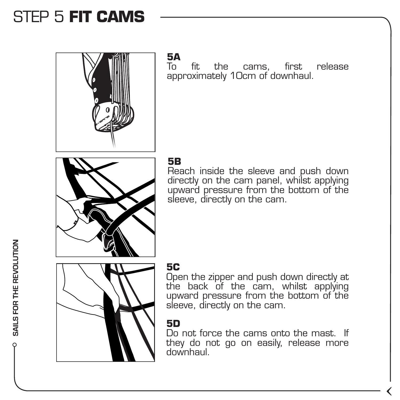### STEP 5 **FIT CAMS**



**5A**

To fit the cams, first release approximately 10cm of downhaul.

#### **5B**

Reach inside the sleeve and push down directly on the cam panel, whilst applying upward pressure from the bottom of the sleeve, directly on the cam.



#### **5C**

Open the zipper and push down directly at the back of the cam, whilst applying upward pressure from the bottom of the sleeve, directly on the cam.

#### **5D**

Do not force the cams onto the mast. If they do not go on easily, release more downhaul.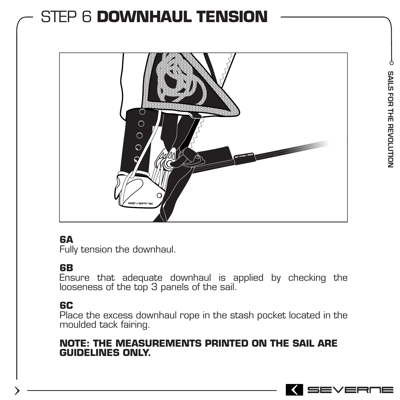### STEP 6 **DOWNHAUL TENSION**



#### **6A**

Fully tension the downhaul.

#### **6B**

Ensure that adequate downhaul is applied by checking the looseness of the top 3 panels of the sail.

#### **6C**

Place the excess downhaul rope in the stash pocket located in the moulded tack fairing.

#### **NOTE: THE MEASUREMENTS PRINTED ON THE SAIL ARE GUIDELINES ONLY.**

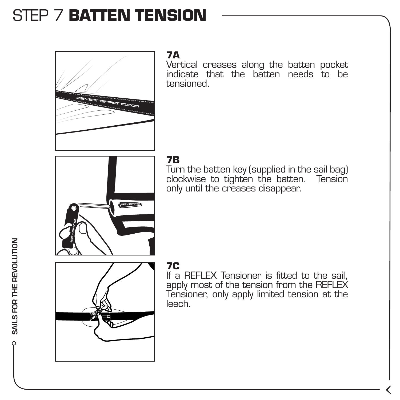### STEP 7 **BATTEN TENSION**



#### **7A**

Vertical creases along the batten pocket indicate that the batten needs to be tensioned.



#### **7B**

Turn the batten key (supplied in the sail bag) clockwise to tighten the batten. Tension only until the creases disappear.



#### **7C**

If a REFLEX Tensioner is fitted to the sail, apply most of the tension from the REFLEX Tensioner, only apply limited tension at the leech.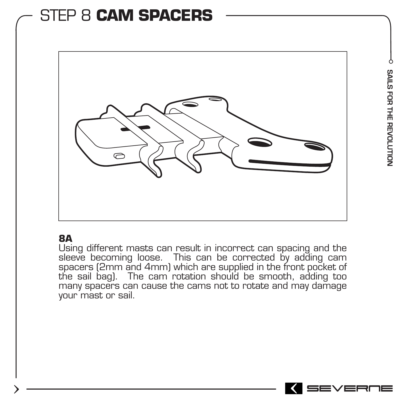### STEP 8 **CAM SPACERS**



#### **8A**

Using different masts can result in incorrect can spacing and the sleeve becoming loose. This can be corrected by adding cam spacers (2mm and 4mm) which are supplied in the front pocket of the sail bag). The cam rotation should be smooth, adding too many spacers can cause the cams not to rotate and may damage your mast or sail.

SEVERO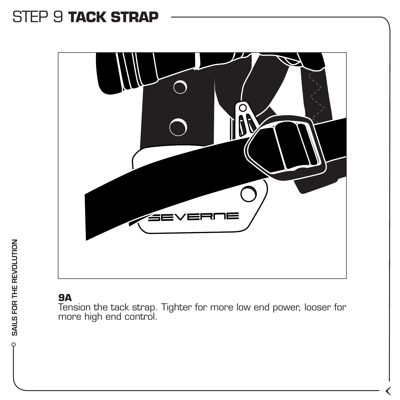### STEP 9 **TACK STRAP**



#### **9A**

Tension the tack strap. Tighter for more low end power, looser for more high end control.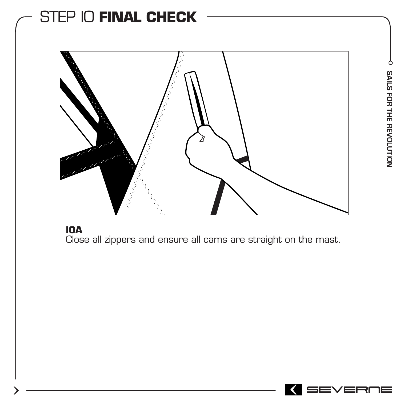### STEP I0 **FINAL CHECK**



#### **I0A**

Close all zippers and ensure all cams are straight on the mast.

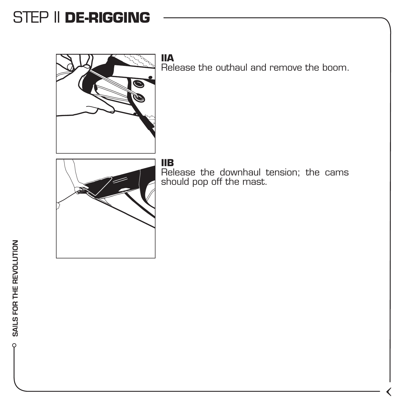### STEP II **DE-RIGGING**



**IIA**  Release the outhaul and remove the boom.



#### **IIB**

Release the downhaul tension; the cams should pop off the mast.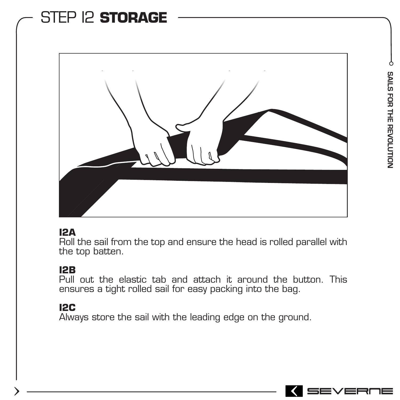### STEP I2 **STORAGE**



#### **I2A**

Roll the sail from the top and ensure the head is rolled parallel with the top batten.

#### **I2B**

Pull out the elastic tab and attach it around the button. This ensures a tight rolled sail for easy packing into the bag.

#### **I2C**

Always store the sail with the leading edge on the ground.

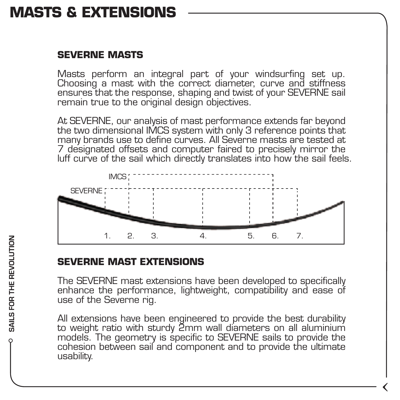### **MASTS & EXTENSIONS**

#### **SEVERNE MASTS**

Masts perform an integral part of your windsurfing set up. Choosing a mast with the correct diameter, curve and stiffness ensures that the response, shaping and twist of your SEVERNE sail remain true to the original design objectives.

At SEVERNE, our analysis of mast performance extends far beyond the two dimensional IMCS system with only 3 reference points that many brands use to define curves. All Severne masts are tested at 7 designated offsets and computer faired to precisely mirror the luff curve of the sail which directly translates into how the sail feels.



#### **SEVERNE MAST EXTENSIONS**

The SEVERNE mast extensions have been developed to specifically enhance the performance, lightweight, compatibility and ease of use of the Severne rig.

All extensions have been engineered to provide the best durability to weight ratio with sturdy 2mm wall diameters on all aluminium models. The geometry is specific to SEVERNE sails to provide the cohesion between sail and component and to provide the ultimate usability.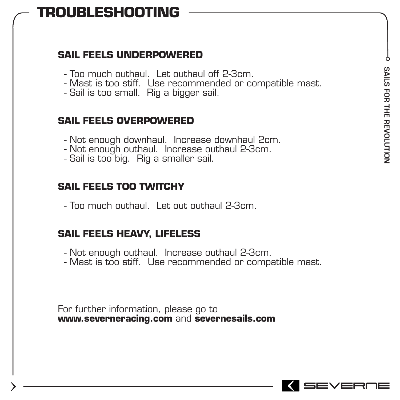### **TROUBLESHOOTING**

#### **SAIL FEELS UNDERPOWERED**

- Too much outhaul. Let outhaul off 2-3cm.
- Mast is too stiff. Use recommended or compatible mast.
- Sail is too small. Rig a bigger sail.

#### **SAIL FEELS OVERPOWERED**

- Not enough downhaul. Increase downhaul 2cm.
- Not enough outhaul. Increase outhaul 2-3cm.
- Sail is too big. Rig a smaller sail.

#### **SAIL FEELS TOO TWITCHY**

- Too much outhaul. Let out outhaul 2-3cm.

#### **SAIL FEELS HEAVY, LIFELESS**

- Not enough outhaul. Increase outhaul 2-3cm.
- Mast is too stiff. Use recommended or compatible mast.

For further information, please go to **www.severneracing.com** and **severnesails.com**